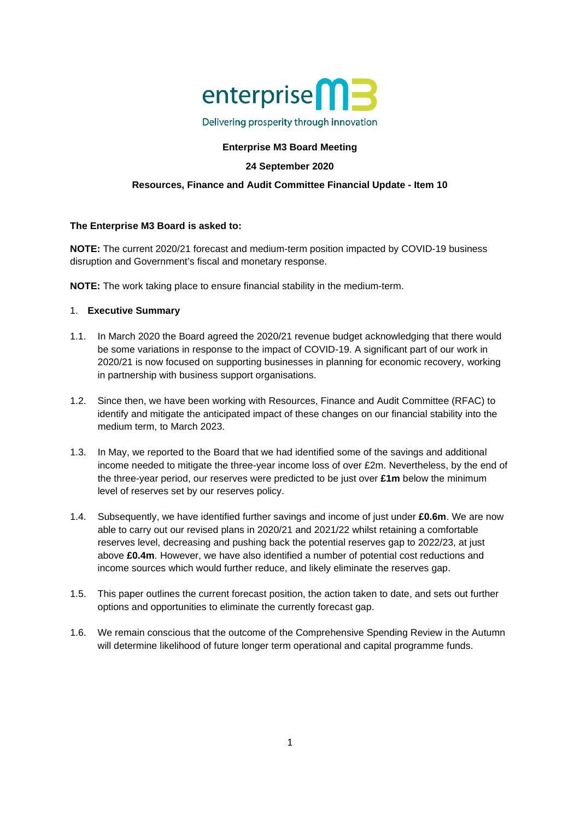

Delivering prosperity through innovation

# **Enterprise M3 Board Meeting**

# **24 September 2020**

## **Resources, Finance and Audit Committee Financial Update - Item 10**

## **The Enterprise M3 Board is asked to:**

**NOTE:** The current 2020/21 forecast and medium-term position impacted by COVID-19 business disruption and Government's fiscal and monetary response.

**NOTE:** The work taking place to ensure financial stability in the medium-term.

## 1. **Executive Summary**

- 1.1. In March 2020 the Board agreed the 2020/21 revenue budget acknowledging that there would be some variations in response to the impact of COVID-19. A significant part of our work in 2020/21 is now focused on supporting businesses in planning for economic recovery, working in partnership with business support organisations.
- 1.2. Since then, we have been working with Resources, Finance and Audit Committee (RFAC) to identify and mitigate the anticipated impact of these changes on our financial stability into the medium term, to March 2023.
- 1.3. In May, we reported to the Board that we had identified some of the savings and additional income needed to mitigate the three-year income loss of over £2m. Nevertheless, by the end of the three-year period, our reserves were predicted to be just over **£1m** below the minimum level of reserves set by our reserves policy.
- 1.4. Subsequently, we have identified further savings and income of just under **£0.6m**. We are now able to carry out our revised plans in 2020/21 and 2021/22 whilst retaining a comfortable reserves level, decreasing and pushing back the potential reserves gap to 2022/23, at just above **£0.4m**. However, we have also identified a number of potential cost reductions and income sources which would further reduce, and likely eliminate the reserves gap.
- 1.5. This paper outlines the current forecast position, the action taken to date, and sets out further options and opportunities to eliminate the currently forecast gap.
- 1.6. We remain conscious that the outcome of the Comprehensive Spending Review in the Autumn will determine likelihood of future longer term operational and capital programme funds.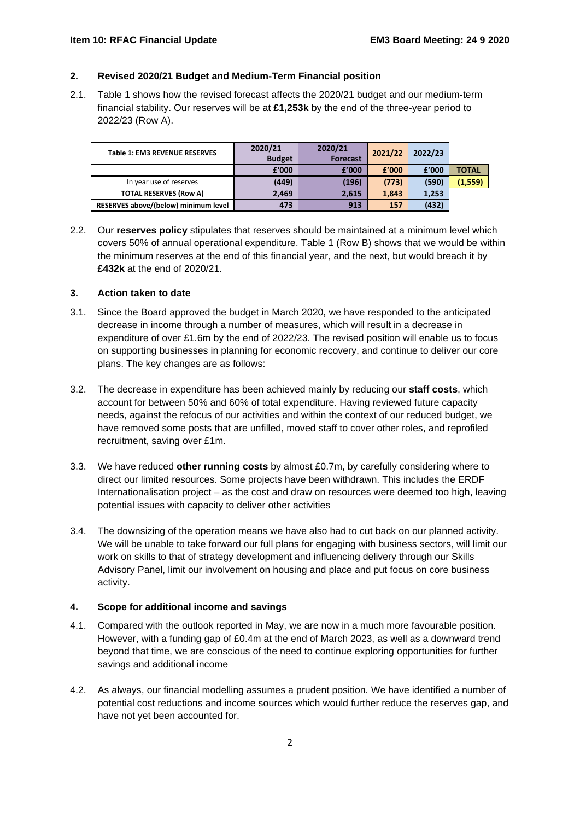### **2. Revised 2020/21 Budget and Medium-Term Financial position**

2.1. Table 1 shows how the revised forecast affects the 2020/21 budget and our medium-term financial stability. Our reserves will be at **£1,253k** by the end of the three-year period to 2022/23 (Row A).

| <b>Table 1: EM3 REVENUE RESERVES</b> | 2020/21<br><b>Budget</b> | 2020/21<br><b>Forecast</b> | 2021/22 | 2022/23 |              |
|--------------------------------------|--------------------------|----------------------------|---------|---------|--------------|
|                                      | £'000                    | f'000                      | £'000   | f'000   | <b>TOTAL</b> |
| In year use of reserves              | (449)                    | (196)                      | (773)   | (590)   | (1, 559)     |
| <b>TOTAL RESERVES (Row A)</b>        | 2,469                    | 2.615                      | 1.843   | 1,253   |              |
| RESERVES above/(below) minimum level | 473                      | 913                        | 157     | (432)   |              |

2.2. Our **reserves policy** stipulates that reserves should be maintained at a minimum level which covers 50% of annual operational expenditure. Table 1 (Row B) shows that we would be within the minimum reserves at the end of this financial year, and the next, but would breach it by **£432k** at the end of 2020/21.

## **3. Action taken to date**

- 3.1. Since the Board approved the budget in March 2020, we have responded to the anticipated decrease in income through a number of measures, which will result in a decrease in expenditure of over £1.6m by the end of 2022/23. The revised position will enable us to focus on supporting businesses in planning for economic recovery, and continue to deliver our core plans. The key changes are as follows:
- 3.2. The decrease in expenditure has been achieved mainly by reducing our **staff costs**, which account for between 50% and 60% of total expenditure. Having reviewed future capacity needs, against the refocus of our activities and within the context of our reduced budget, we have removed some posts that are unfilled, moved staff to cover other roles, and reprofiled recruitment, saving over £1m.
- 3.3. We have reduced **other running costs** by almost £0.7m, by carefully considering where to direct our limited resources. Some projects have been withdrawn. This includes the ERDF Internationalisation project – as the cost and draw on resources were deemed too high, leaving potential issues with capacity to deliver other activities
- 3.4. The downsizing of the operation means we have also had to cut back on our planned activity. We will be unable to take forward our full plans for engaging with business sectors, will limit our work on skills to that of strategy development and influencing delivery through our Skills Advisory Panel, limit our involvement on housing and place and put focus on core business activity.

# **4. Scope for additional income and savings**

- 4.1. Compared with the outlook reported in May, we are now in a much more favourable position. However, with a funding gap of £0.4m at the end of March 2023, as well as a downward trend beyond that time, we are conscious of the need to continue exploring opportunities for further savings and additional income
- 4.2. As always, our financial modelling assumes a prudent position. We have identified a number of potential cost reductions and income sources which would further reduce the reserves gap, and have not yet been accounted for.